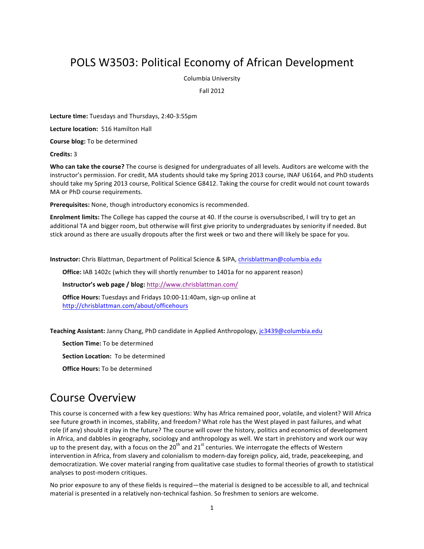## POLS W3503: Political Economy of African Development

Columbia University

Fall 2012

**Lecture time:** Tuesdays and Thursdays, 2:40-3:55pm

Lecture location: 516 Hamilton Hall

**Course blog:** To be determined

**Credits:** 3

**Who can take the course?** The course is designed for undergraduates of all levels. Auditors are welcome with the instructor's permission. For credit, MA students should take my Spring 2013 course, INAF U6164, and PhD students should take my Spring 2013 course, Political Science G8412. Taking the course for credit would not count towards MA or PhD course requirements.

Prerequisites: None, though introductory economics is recommended.

**Enrolment limits:** The College has capped the course at 40. If the course is oversubscribed, I will try to get an additional TA and bigger room, but otherwise will first give priority to undergraduates by seniority if needed. But stick around as there are usually dropouts after the first week or two and there will likely be space for you.

**Instructor:** Chris Blattman, Department of Political Science & SIPA, chrisblattman@columbia.edu

**Office:** IAB 1402c (which they will shortly renumber to 1401a for no apparent reason)

**Instructor's web page / blog: http://www.chrisblattman.com/** 

**Office Hours:** Tuesdays and Fridays 10:00-11:40am, sign-up online at http://chrisblattman.com/about/officehours 

Teaching Assistant: Janny Chang, PhD candidate in Applied Anthropology, jc3439@columbia.edu

**Section Time:** To be determined

**Section Location:** To be determined

**Office Hours:** To be determined

## Course Overview

This course is concerned with a few key questions: Why has Africa remained poor, volatile, and violent? Will Africa see future growth in incomes, stability, and freedom? What role has the West played in past failures, and what role (if any) should it play in the future? The course will cover the history, politics and economics of development in Africa, and dabbles in geography, sociology and anthropology as well. We start in prehistory and work our way up to the present day, with a focus on the  $20^{th}$  and  $21^{st}$  centuries. We interrogate the effects of Western intervention in Africa, from slavery and colonialism to modern-day foreign policy, aid, trade, peacekeeping, and democratization. We cover material ranging from qualitative case studies to formal theories of growth to statistical analyses to post-modern critiques.

No prior exposure to any of these fields is required—the material is designed to be accessible to all, and technical material is presented in a relatively non-technical fashion. So freshmen to seniors are welcome.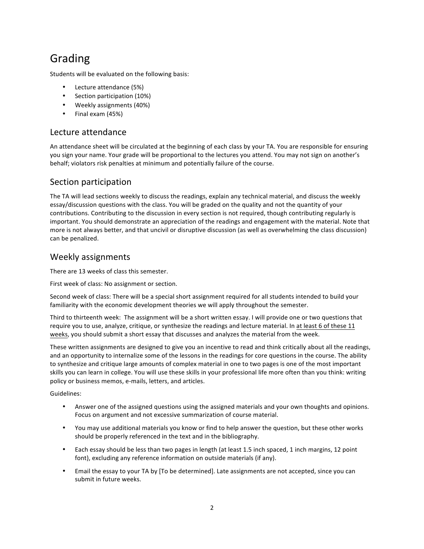# Grading

Students will be evaluated on the following basis:

- Lecture attendance (5%)
- Section participation (10%)
- Weekly assignments (40%)
- Final exam (45%)

## Lecture attendance

An attendance sheet will be circulated at the beginning of each class by your TA. You are responsible for ensuring you sign your name. Your grade will be proportional to the lectures you attend. You may not sign on another's behalf; violators risk penalties at minimum and potentially failure of the course.

## Section participation

The TA will lead sections weekly to discuss the readings, explain any technical material, and discuss the weekly essay/discussion questions with the class. You will be graded on the quality and not the quantity of your contributions. Contributing to the discussion in every section is not required, though contributing regularly is important. You should demonstrate an appreciation of the readings and engagement with the material. Note that more is not always better, and that uncivil or disruptive discussion (as well as overwhelming the class discussion) can be penalized.

## Weekly assignments

There are 13 weeks of class this semester.

First week of class: No assignment or section.

Second week of class: There will be a special short assignment required for all students intended to build your familiarity with the economic development theories we will apply throughout the semester.

Third to thirteenth week: The assignment will be a short written essay. I will provide one or two questions that require you to use, analyze, critique, or synthesize the readings and lecture material. In at least 6 of these 11 weeks, you should submit a short essay that discusses and analyzes the material from the week.

These written assignments are designed to give you an incentive to read and think critically about all the readings, and an opportunity to internalize some of the lessons in the readings for core questions in the course. The ability to synthesize and critique large amounts of complex material in one to two pages is one of the most important skills you can learn in college. You will use these skills in your professional life more often than you think: writing policy or business memos, e-mails, letters, and articles.

Guidelines:

- Answer one of the assigned questions using the assigned materials and your own thoughts and opinions. Focus on argument and not excessive summarization of course material.
- You may use additional materials you know or find to help answer the question, but these other works should be properly referenced in the text and in the bibliography.
- Each essay should be less than two pages in length (at least 1.5 inch spaced, 1 inch margins, 12 point font), excluding any reference information on outside materials (if any).
- Email the essay to your TA by [To be determined]. Late assignments are not accepted, since you can submit in future weeks.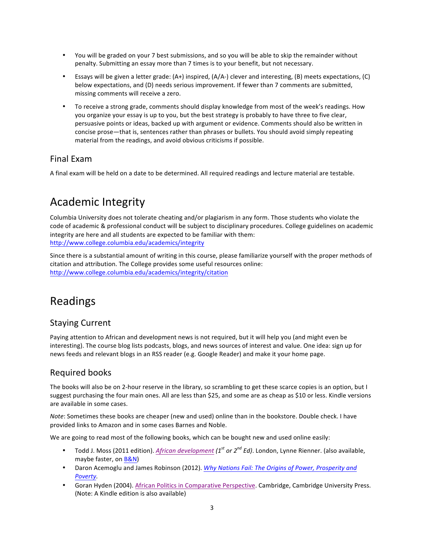- You will be graded on your 7 best submissions, and so you will be able to skip the remainder without penalty. Submitting an essay more than 7 times is to your benefit, but not necessary.
- Essays will be given a letter grade: (A+) inspired, (A/A-) clever and interesting, (B) meets expectations, (C) below expectations, and (D) needs serious improvement. If fewer than 7 comments are submitted, missing comments will receive a zero.
- To receive a strong grade, comments should display knowledge from most of the week's readings. How you organize your essay is up to you, but the best strategy is probably to have three to five clear, persuasive points or ideas, backed up with argument or evidence. Comments should also be written in concise prose—that is, sentences rather than phrases or bullets. You should avoid simply repeating material from the readings, and avoid obvious criticisms if possible.

## Final Fxam

A final exam will be held on a date to be determined. All required readings and lecture material are testable.

# Academic Integrity

Columbia University does not tolerate cheating and/or plagiarism in any form. Those students who violate the code of academic & professional conduct will be subject to disciplinary procedures. College guidelines on academic integrity are here and all students are expected to be familiar with them: http://www.college.columbia.edu/academics/integrity

Since there is a substantial amount of writing in this course, please familiarize yourself with the proper methods of citation and attribution. The College provides some useful resources online: http://www.college.columbia.edu/academics/integrity/citation

## Readings

## Staying Current

Paying attention to African and development news is not required, but it will help you (and might even be interesting). The course blog lists podcasts, blogs, and news sources of interest and value. One idea: sign up for news feeds and relevant blogs in an RSS reader (e.g. Google Reader) and make it your home page.

## Required books

The books will also be on 2-hour reserve in the library, so scrambling to get these scarce copies is an option, but I suggest purchasing the four main ones. All are less than \$25, and some are as cheap as \$10 or less. Kindle versions are available in some cases.

*Note*: Sometimes these books are cheaper (new and used) online than in the bookstore. Double check. I have provided links to Amazon and in some cases Barnes and Noble.

We are going to read most of the following books, which can be bought new and used online easily:

- Todd J. Moss (2011 edition). *African development (1<sup>st</sup> or 2<sup>nd</sup> Ed)*. London, Lynne Rienner. (also available, maybe faster, on B&N)
- Daron Acemoglu and James Robinson (2012). *Why Nations Fail: The Origins of Power, Prosperity and Poverty.*
- Goran Hyden (2004). African Politics in Comparative Perspective. Cambridge, Cambridge University Press. (Note: A Kindle edition is also available)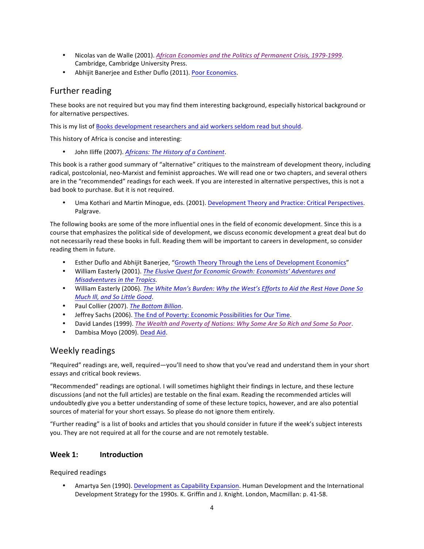- Nicolas van de Walle (2001). African Economies and the Politics of Permanent Crisis, 1979-1999. Cambridge, Cambridge University Press.
- Abhijit Banerjee and Esther Duflo (2011). Poor Economics.

## Further reading

These books are not required but you may find them interesting background, especially historical background or for alternative perspectives.

This is my list of Books development researchers and aid workers seldom read but should.

This history of Africa is concise and interesting:

• John Iliffe (2007). Africans: The History of a Continent.

This book is a rather good summary of "alternative" critiques to the mainstream of development theory, including radical, postcolonial, neo-Marxist and feminist approaches. We will read one or two chapters, and several others are in the "recommended" readings for each week. If you are interested in alternative perspectives, this is not a bad book to purchase. But it is not required.

Uma Kothari and Martin Minogue, eds. (2001). Development Theory and Practice: Critical Perspectives. Palgrave.

The following books are some of the more influential ones in the field of economic development. Since this is a course that emphasizes the political side of development, we discuss economic development a great deal but do not necessarily read these books in full. Reading them will be important to careers in development, so consider reading them in future.

- Esther Duflo and Abhijit Banerjee, "Growth Theory Through the Lens of Development Economics"
- William Easterly (2001). The Elusive Quest for Economic Growth: Economists' Adventures and *Misadventures in the Tropics.*
- William Easterly (2006). The White Man's Burden: Why the West's Efforts to Aid the Rest Have Done So **Much III, and So Little Good.**
- Paul Collier (2007). The Bottom Billion.
- Jeffrey Sachs (2006). The End of Poverty: Economic Possibilities for Our Time.
- David Landes (1999). *The Wealth and Poverty of Nations: Why Some Are So Rich and Some So Poor.*
- Dambisa Moyo (2009). Dead Aid.

## Weekly readings

"Required" readings are, well, required—you'll need to show that you've read and understand them in your short essays and critical book reviews.

"Recommended" readings are optional. I will sometimes highlight their findings in lecture, and these lecture discussions (and not the full articles) are testable on the final exam. Reading the recommended articles will undoubtedly give you a better understanding of some of these lecture topics, however, and are also potential sources of material for your short essays. So please do not ignore them entirely.

"Further reading" is a list of books and articles that you should consider in future if the week's subject interests you. They are not required at all for the course and are not remotely testable.

## **Week 1: Introduction**

Required readings

Amartya Sen (1990). Development as Capability Expansion. Human Development and the International Development Strategy for the 1990s. K. Griffin and J. Knight. London, Macmillan: p. 41-58.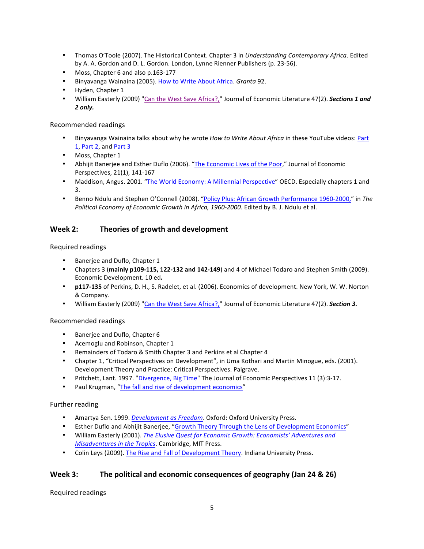- Thomas O'Toole (2007). The Historical Context. Chapter 3 in *Understanding Contemporary Africa*. Edited by A. A. Gordon and D. L. Gordon. London, Lynne Rienner Publishers (p. 23-56).
- Moss, Chapter 6 and also p.163-177
- Binyavanga Wainaina (2005). How to Write About Africa. *Granta* 92.
- Hyden, Chapter 1
- William Easterly (2009) "Can the West Save Africa?," Journal of Economic Literature 47(2). **Sections 1 and** *2 only.*

## Recommended readings

- Binyavanga Wainaina talks about why he wrote *How to Write About Africa* in these YouTube videos: Part 1, Part 2, and Part 3
- Moss, Chapter 1
- Abhijit Banerjee and Esther Duflo (2006). "The Economic Lives of the Poor," Journal of Economic Perspectives, 21(1), 141-167
- Maddison, Angus. 2001. "The World Economy: A Millennial Perspective" OECD. Especially chapters 1 and 3.
- Benno Ndulu and Stephen O'Connell (2008). "Policy Plus: African Growth Performance 1960-2000," in The Political Economy of Economic Growth in Africa, 1960-2000. Edited by B. J. Ndulu et al.

## **Week 2: Theories of growth and development**

Required readings

- Banerjee and Duflo, Chapter 1
- Chapters 3 (mainly p109-115, 122-132 and 142-149) and 4 of Michael Todaro and Stephen Smith (2009). Economic Development. 10 ed*.*
- **p117-135** of Perkins, D. H., S. Radelet, et al. (2006). Economics of development. New York, W. W. Norton & Company.
- William Easterly (2009) "Can the West Save Africa?," Journal of Economic Literature 47(2). **Section 3.**

#### Recommended readings

- Banerjee and Duflo, Chapter 6
- Acemoglu and Robinson, Chapter 1
- Remainders of Todaro & Smith Chapter 3 and Perkins et al Chapter 4
- Chapter 1, "Critical Perspectives on Development", in Uma Kothari and Martin Minogue, eds. (2001). Development Theory and Practice: Critical Perspectives. Palgrave.
- Pritchett, Lant. 1997. "Divergence, Big Time" The Journal of Economic Perspectives 11 (3):3-17.
- Paul Krugman, "The fall and rise of development economics"

## Further reading

- Amartya Sen. 1999. *Development as Freedom*. Oxford: Oxford University Press.
- Esther Duflo and Abhijit Banerjee, "Growth Theory Through the Lens of Development Economics"
- William Easterly (2001). *The Elusive Quest for Economic Growth: Economists' Adventures and Misadventures in the Tropics*. Cambridge, MIT Press.
- Colin Leys (2009). The Rise and Fall of Development Theory. Indiana University Press.

## **Week 3:** The political and economic consequences of geography (Jan 24 & 26)

Required readings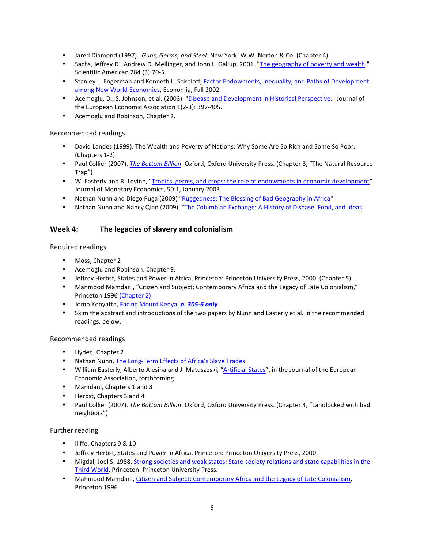- Jared Diamond (1997). *Guns, Germs, and Steel*. New York: W.W. Norton & Co. (Chapter 4)
- Sachs, Jeffrey D., Andrew D. Mellinger, and John L. Gallup. 2001. "The geography of poverty and wealth." Scientific American 284 (3):70-5.
- Stanley L. Engerman and Kenneth L. Sokoloff, Factor Endowments, Inequality, and Paths of Development among New World Economies, Economia, Fall 2002
- Acemoglu, D., S. Johnson, et al. (2003). "Disease and Development in Historical Perspective." Journal of the European Economic Association 1(2-3): 397-405.
- Acemoglu and Robinson, Chapter 2.

### Recommended readings

- David Landes (1999). The Wealth and Poverty of Nations: Why Some Are So Rich and Some So Poor. (Chapters 1-2)
- Paul Collier (2007). *The Bottom Billion*. Oxford, Oxford University Press. (Chapter 3, "The Natural Resource Trap")
- W. Easterly and R. Levine, "Tropics, germs, and crops: the role of endowments in economic development" Journal of Monetary Economics, 50:1, January 2003.
- Nathan Nunn and Diego Puga (2009) "Ruggedness: The Blessing of Bad Geography in Africa"
- Nathan Nunn and Nancy Qian (2009), "The Columbian Exchange: A History of Disease, Food, and Ideas"

## **Week 4:** The legacies of slavery and colonialism

#### Required readings

- Moss, Chapter 2
- Acemoglu and Robinson. Chapter 9.
- Jeffrey Herbst, States and Power in Africa, Princeton: Princeton University Press, 2000. (Chapter 5)
- Mahmood Mamdani, "Citizen and Subject: Contemporary Africa and the Legacy of Late Colonialism," Princeton 1996 (Chapter 2)
- Jomo Kenyatta, Facing Mount Kenya, p. 305-6 only
- Skim the abstract and introductions of the two papers by Nunn and Easterly et al. in the recommended readings, below.

#### Recommended readings

- Hyden, Chapter 2
- Nathan Nunn, The Long-Term Effects of Africa's Slave Trades
- William Easterly, Alberto Alesina and J. Matuszeski, "Artificial States", in the Journal of the European Economic Association, forthcoming
- Mamdani, Chapters 1 and 3
- Herbst, Chapters 3 and 4
- Paul Collier (2007). The Bottom Billion. Oxford, Oxford University Press. (Chapter 4, "Landlocked with bad neighbors")

#### Further reading

- Iliffe, Chapters 9 & 10
- Jeffrey Herbst, States and Power in Africa, Princeton: Princeton University Press, 2000.
- Migdal, Joel S. 1988. Strong societies and weak states: State-society relations and state capabilities in the Third World. Princeton: Princeton University Press.
- Mahmood Mamdani, Citizen and Subject: Contemporary Africa and the Legacy of Late Colonialism, Princeton 1996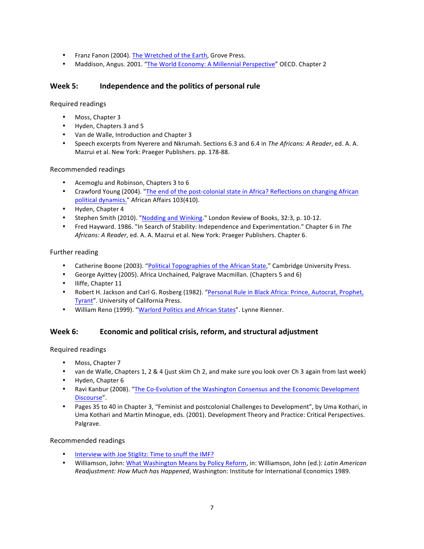- Franz Fanon (2004). The Wretched of the Earth, Grove Press.
- Maddison, Angus. 2001. "The World Economy: A Millennial Perspective" OECD. Chapter 2

## Week 5: **Independence and the politics of personal rule**

Required readings

- Moss, Chapter 3
- Hyden, Chapters 3 and 5
- Van de Walle, Introduction and Chapter 3
- Speech excerpts from Nyerere and Nkrumah. Sections 6.3 and 6.4 in The Africans: A Reader, ed. A. A. Mazrui et al. New York: Praeger Publishers. pp. 178-88.

## Recommended readings

- Acemoglu and Robinson, Chapters 3 to 6
- Crawford Young (2004). "The end of the post-colonial state in Africa? Reflections on changing African political dynamics." African Affairs 103(410).
- Hyden, Chapter 4
- Stephen Smith (2010). "Nodding and Winking." London Review of Books, 32:3, p. 10-12.
- Fred Hayward. 1986. "In Search of Stability: Independence and Experimentation." Chapter 6 in The Africans: A Reader, ed. A. A. Mazrui et al. New York: Praeger Publishers. Chapter 6.

## Further reading

- Catherine Boone (2003). "Political Topographies of the African State," Cambridge University Press.
- George Ayittey (2005). Africa Unchained, Palgrave Macmillan. (Chapters 5 and 6)
- Iliffe, Chapter 11
- Robert H. Jackson and Carl G. Rosberg (1982). "Personal Rule in Black Africa: Prince, Autocrat, Prophet, Tyrant". University of California Press.
- William Reno (1999). "Warlord Politics and African States". Lynne Rienner.

## Week 6: Economic and political crisis, reform, and structural adjustment

Required readings

- Moss, Chapter 7
- van de Walle, Chapters 1, 2 & 4 (just skim Ch 2, and make sure you look over Ch 3 again from last week)
- Hyden, Chapter 6
- Ravi Kanbur (2008). "The Co-Evolution of the Washington Consensus and the Economic Development Discourse".
- Pages 35 to 40 in Chapter 3, "Feminist and postcolonial Challenges to Development", by Uma Kothari, in Uma Kothari and Martin Minogue, eds. (2001). Development Theory and Practice: Critical Perspectives. Palgrave.

## Recommended readings

- Interview with Joe Stiglitz: Time to snuff the IMF?
- Williamson, John: What Washington Means by Policy Reform, in: Williamson, John (ed.): *Latin American* Readjustment: How Much has Happened, Washington: Institute for International Economics 1989.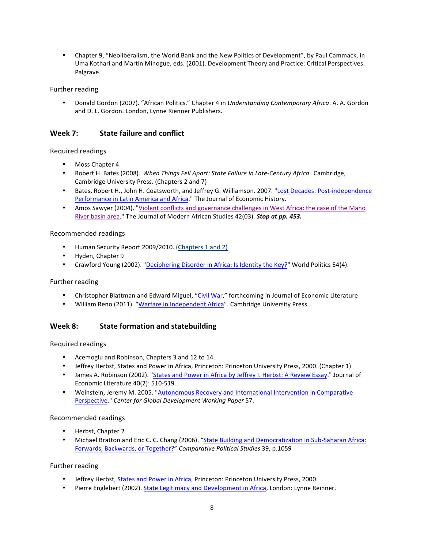• Chapter 9, "Neoliberalism, the World Bank and the New Politics of Development", by Paul Cammack, in Uma Kothari and Martin Minogue, eds. (2001). Development Theory and Practice: Critical Perspectives. Palgrave.

### Further reading

Donald Gordon (2007). "African Politics." Chapter 4 in *Understanding Contemporary Africa*. A. A. Gordon and D. L. Gordon. London, Lynne Rienner Publishers.

## **Week 7: State failure and conflict**

## Required readings

- Moss Chapter 4
- Robert H. Bates (2008). When Things Fell Apart: State Failure in Late-Century Africa. Cambridge, Cambridge University Press. (Chapters 2 and 7)
- Bates, Robert H., John H. Coatsworth, and Jeffrey G. Williamson. 2007. "Lost Decades: Post-independence Performance in Latin America and Africa." The Journal of Economic History.
- Amos Sawyer (2004). "Violent conflicts and governance challenges in West Africa: the case of the Mano River basin area." The Journal of Modern African Studies 42(03). **Stop at pp. 453.**

#### Recommended readings

- Human Security Report 2009/2010. (Chapters 1 and 2)
- Hyden, Chapter 9
- Crawford Young (2002). "Deciphering Disorder in Africa: Is Identity the Key?" World Politics 54(4).

#### Further reading

- Christopher Blattman and Edward Miguel, "Civil War," forthcoming in Journal of Economic Literature
- William Reno (2011). "Warfare in Independent Africa". Cambridge University Press.

## **Week 8:** State formation and statebuilding

Required readings

- Acemoglu and Robinson, Chapters 3 and 12 to 14.
- Jeffrey Herbst, States and Power in Africa, Princeton: Princeton University Press, 2000. (Chapter 1)
- James A. Robinson (2002). "States and Power in Africa by Jeffrey I. Herbst: A Review Essay." Journal of Economic Literature 40(2): 510-519.
- Weinstein, Jeremy M. 2005. "Autonomous Recovery and International Intervention in Comparative Perspective." Center for Global Development Working Paper 57.

#### Recommended readings

- Herbst, Chapter 2
- Michael Bratton and Eric C. C. Chang (2006). "State Building and Democratization in Sub-Saharan Africa: Forwards, Backwards, or Together?" *Comparative Political Studies* 39, p.1059

#### Further reading

- Jeffrey Herbst, States and Power in Africa, Princeton: Princeton University Press, 2000.
- Pierre Englebert (2002). State Legitimacy and Development in Africa, London: Lynne Reinner.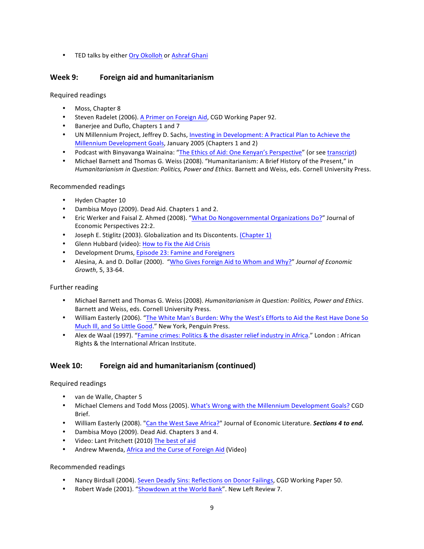• TED talks by either Ory Okolloh or Ashraf Ghani

## **Week 9: Foreign aid and humanitarianism**

Required readings

- Moss, Chapter 8
- Steven Radelet (2006). A Primer on Foreign Aid, CGD Working Paper 92.
- Banerjee and Duflo, Chapters 1 and 7
- UN Millennium Project, Jeffrey D. Sachs, Investing in Development: A Practical Plan to Achieve the Millennium Development Goals, January 2005 (Chapters 1 and 2)
- Podcast with Binyavanga Wainaina: "The Ethics of Aid: One Kenyan's Perspective" (or see transcript)
- Michael Barnett and Thomas G. Weiss (2008). "Humanitarianism: A Brief History of the Present," in *Humanitarianism in Question: Politics, Power and Ethics*. Barnett and Weiss, eds. Cornell University Press.

## Recommended readings

- Hyden Chapter 10
- Dambisa Moyo (2009). Dead Aid. Chapters 1 and 2.
- Eric Werker and Faisal Z. Ahmed (2008). "What Do Nongovernmental Organizations Do?" Journal of Economic Perspectives 22:2.
- Joseph E. Stiglitz (2003). Globalization and Its Discontents. (Chapter 1)
- Glenn Hubbard (video): How to Fix the Aid Crisis
- Development Drums, Episode 23: Famine and Foreigners
- Alesina, A. and D. Dollar (2000). "Who Gives Foreign Aid to Whom and Why?" *Journal of Economic Growth*, 5, 33-64.

#### Further reading

- Michael Barnett and Thomas G. Weiss (2008). *Humanitarianism in Question: Politics, Power and Ethics*. Barnett and Weiss, eds. Cornell University Press.
- William Easterly (2006). "The White Man's Burden: Why the West's Efforts to Aid the Rest Have Done So Much III, and So Little Good." New York, Penguin Press.
- Alex de Waal (1997). "Famine crimes: Politics & the disaster relief industry in Africa." London : African Rights & the International African Institute.

## **Week 10: Foreign aid and humanitarianism (continued)**

#### Required readings

- van de Walle, Chapter 5
- Michael Clemens and Todd Moss (2005). What's Wrong with the Millennium Development Goals? CGD Brief.
- William Easterly (2008). "Can the West Save Africa?" Journal of Economic Literature. **Sections 4 to end.**
- Dambisa Moyo (2009). Dead Aid. Chapters 3 and 4.
- Video: Lant Pritchett (2010) The best of aid
- Andrew Mwenda, Africa and the Curse of Foreign Aid (Video)

#### Recommended readings

- Nancy Birdsall (2004). Seven Deadly Sins: Reflections on Donor Failings, CGD Working Paper 50.
- Robert Wade (2001). "Showdown at the World Bank". New Left Review 7.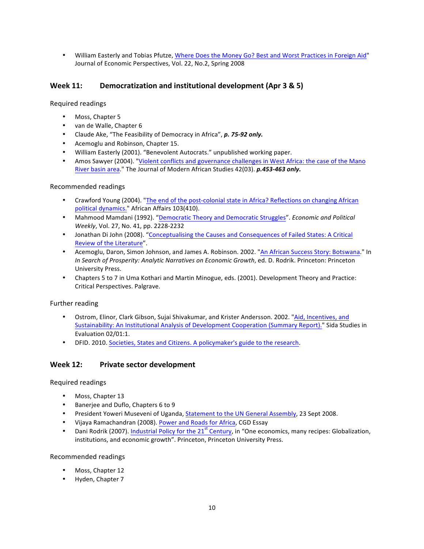• William Easterly and Tobias Pfutze, Where Does the Money Go? Best and Worst Practices in Foreign Aid" Journal of Economic Perspectives, Vol. 22, No.2, Spring 2008

## **Week 11:** Democratization and institutional development (Apr 3 & 5)

Required readings

- Moss, Chapter 5
- van de Walle, Chapter 6
- Claude Ake, "The Feasibility of Democracy in Africa", p. 75-92 only.
- Acemoglu and Robinson, Chapter 15.
- William Easterly (2001). "Benevolent Autocrats." unpublished working paper.
- Amos Sawyer (2004). "Violent conflicts and governance challenges in West Africa: the case of the Mano River basin area." The Journal of Modern African Studies 42(03). *p.453-463 only.*

#### Recommended readings

- Crawford Young (2004). "The end of the post-colonial state in Africa? Reflections on changing African political dynamics." African Affairs 103(410).
- Mahmood Mamdani (1992). "Democratic Theory and Democratic Struggles". *Economic and Political Weekly*, Vol. 27, No. 41, pp. 2228-2232
- Jonathan Di John (2008). "Conceptualising the Causes and Consequences of Failed States: A Critical Review of the Literature".
- Acemoglu, Daron, Simon Johnson, and James A. Robinson. 2002. "An African Success Story: Botswana." In *In Search of Prosperity: Analytic Narratives on Economic Growth, ed. D. Rodrik. Princeton: Princeton* University Press.
- Chapters 5 to 7 in Uma Kothari and Martin Minogue, eds. (2001). Development Theory and Practice: Critical Perspectives. Palgrave.

#### Further reading

- Ostrom, Elinor, Clark Gibson, Sujai Shivakumar, and Krister Andersson. 2002. "Aid, Incentives, and Sustainability: An Institutional Analysis of Development Cooperation (Summary Report)." Sida Studies in Evaluation 02/01:1.
- DFID. 2010. Societies, States and Citizens. A policymaker's guide to the research.

## Week 12: Private sector development

#### Required readings

- Moss, Chapter 13
- Banerjee and Duflo, Chapters 6 to 9
- President Yoweri Museveni of Uganda, Statement to the UN General Assembly, 23 Sept 2008.
- Vijaya Ramachandran (2008). Power and Roads for Africa, CGD Essay
- Dani Rodrik (2007). Industrial Policy for the 21<sup>st</sup> Century, in "One economics, many recipes: Globalization, institutions, and economic growth". Princeton, Princeton University Press.

Recommended readings

- Moss, Chapter 12
- Hyden, Chapter 7